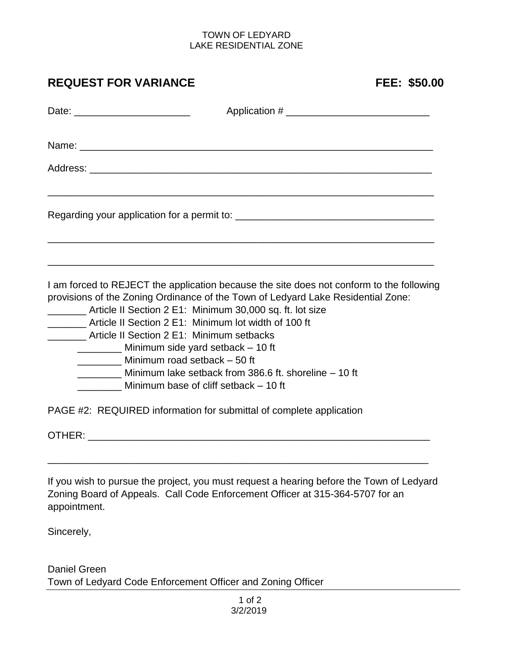## TOWN OF LEDYARD LAKE RESIDENTIAL ZONE

## **REQUEST FOR VARIANCE FEE: \$50.00**

Date: \_\_\_\_\_\_\_\_\_\_\_\_\_\_\_\_\_\_\_\_\_ Application # \_\_\_\_\_\_\_\_\_\_\_\_\_\_\_\_\_\_\_\_\_\_\_\_\_\_ Name: Address: \_\_\_\_\_\_\_\_\_\_\_\_\_\_\_\_\_\_\_\_\_\_\_\_\_\_\_\_\_\_\_\_\_\_\_\_\_\_\_\_\_\_\_\_\_\_\_\_\_\_\_\_\_\_\_\_\_\_\_\_\_\_ \_\_\_\_\_\_\_\_\_\_\_\_\_\_\_\_\_\_\_\_\_\_\_\_\_\_\_\_\_\_\_\_\_\_\_\_\_\_\_\_\_\_\_\_\_\_\_\_\_\_\_\_\_\_\_\_\_\_\_\_\_\_\_\_\_\_\_\_\_\_ Regarding your application for a permit to: \_\_\_\_\_\_\_\_\_\_\_\_\_\_\_\_\_\_\_\_\_\_\_\_\_\_\_\_\_\_\_\_\_\_\_\_ \_\_\_\_\_\_\_\_\_\_\_\_\_\_\_\_\_\_\_\_\_\_\_\_\_\_\_\_\_\_\_\_\_\_\_\_\_\_\_\_\_\_\_\_\_\_\_\_\_\_\_\_\_\_\_\_\_\_\_\_\_\_\_\_\_\_\_\_\_\_ \_\_\_\_\_\_\_\_\_\_\_\_\_\_\_\_\_\_\_\_\_\_\_\_\_\_\_\_\_\_\_\_\_\_\_\_\_\_\_\_\_\_\_\_\_\_\_\_\_\_\_\_\_\_\_\_\_\_\_\_\_\_\_\_\_\_\_\_\_\_ I am forced to REJECT the application because the site does not conform to the following provisions of the Zoning Ordinance of the Town of Ledyard Lake Residential Zone: \_\_\_\_\_\_\_ Article II Section 2 E1: Minimum 30,000 sq. ft. lot size \_\_\_\_\_\_\_ Article II Section 2 E1: Minimum lot width of 100 ft Article II Section 2 E1: Minimum setbacks \_\_\_\_\_\_\_\_ Minimum side yard setback – 10 ft \_\_\_\_\_\_\_\_ Minimum road setback – 50 ft \_\_\_\_\_\_\_\_ Minimum lake setback from 386.6 ft. shoreline – 10 ft \_\_\_\_\_\_\_\_ Minimum base of cliff setback – 10 ft PAGE #2: REQUIRED information for submittal of complete application OTHER: \_\_\_\_\_\_\_\_\_\_\_\_\_\_\_\_\_\_\_\_\_\_\_\_\_\_\_\_\_\_\_\_\_\_\_\_\_\_\_\_\_\_\_\_\_\_\_\_\_\_\_\_\_\_\_\_\_\_\_\_\_\_

If you wish to pursue the project, you must request a hearing before the Town of Ledyard Zoning Board of Appeals. Call Code Enforcement Officer at 315-364-5707 for an appointment.

\_\_\_\_\_\_\_\_\_\_\_\_\_\_\_\_\_\_\_\_\_\_\_\_\_\_\_\_\_\_\_\_\_\_\_\_\_\_\_\_\_\_\_\_\_\_\_\_\_\_\_\_\_\_\_\_\_\_\_\_\_\_\_\_\_\_\_\_\_

Sincerely,

Daniel Green Town of Ledyard Code Enforcement Officer and Zoning Officer

> 1 of 2 3/2/2019